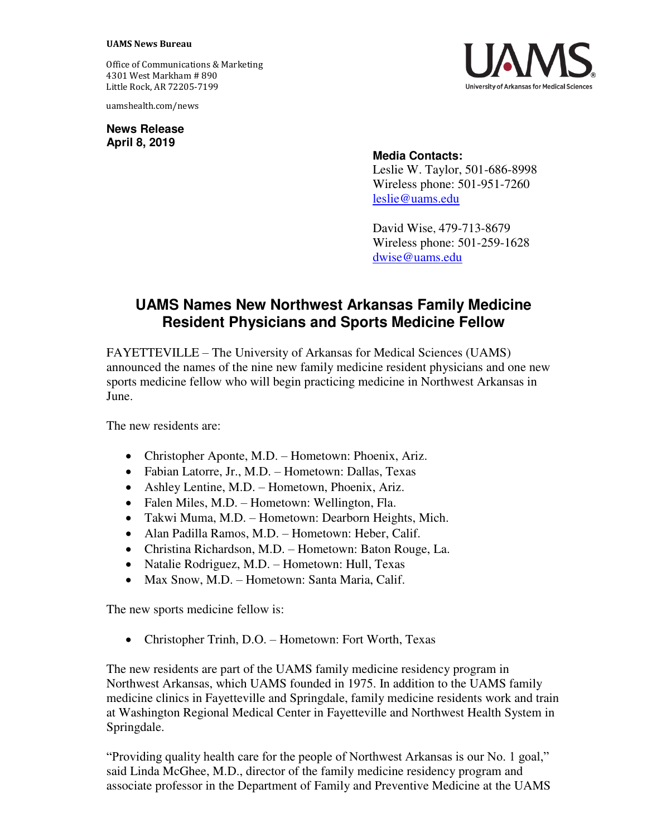## **UAMS News Bureau**

Office of Communications & Marketing 4301 West Markham # 890 Little Rock, AR 72205-7199

uamshealth.com/news

**News Release April 8, 2019**



## **Media Contacts:**

Leslie W. Taylor, 501-686-8998 Wireless phone: 501-951-7260 [leslie@uams.edu](mailto:leslie@uams.edu)

David Wise, 479-713-8679 Wireless phone: 501-259-1628 [dwise@uams.edu](mailto:dwise@uams.edu)

## **UAMS Names New Northwest Arkansas Family Medicine Resident Physicians and Sports Medicine Fellow**

FAYETTEVILLE – The University of Arkansas for Medical Sciences (UAMS) announced the names of the nine new family medicine resident physicians and one new sports medicine fellow who will begin practicing medicine in Northwest Arkansas in June.

The new residents are:

- Christopher Aponte, M.D. Hometown: Phoenix, Ariz.
- Fabian Latorre, Jr., M.D. Hometown: Dallas, Texas
- Ashley Lentine, M.D. Hometown, Phoenix, Ariz.
- Falen Miles, M.D. Hometown: Wellington, Fla.
- Takwi Muma, M.D. Hometown: Dearborn Heights, Mich.
- Alan Padilla Ramos, M.D. Hometown: Heber, Calif.
- Christina Richardson, M.D. Hometown: Baton Rouge, La.
- Natalie Rodriguez, M.D. Hometown: Hull, Texas
- Max Snow, M.D. Hometown: Santa Maria, Calif.

The new sports medicine fellow is:

Christopher Trinh, D.O. – Hometown: Fort Worth, Texas

The new residents are part of the UAMS family medicine residency program in Northwest Arkansas, which UAMS founded in 1975. In addition to the UAMS family medicine clinics in Fayetteville and Springdale, family medicine residents work and train at Washington Regional Medical Center in Fayetteville and Northwest Health System in Springdale.

"Providing quality health care for the people of Northwest Arkansas is our No. 1 goal," said Linda McGhee, M.D., director of the family medicine residency program and associate professor in the Department of Family and Preventive Medicine at the UAMS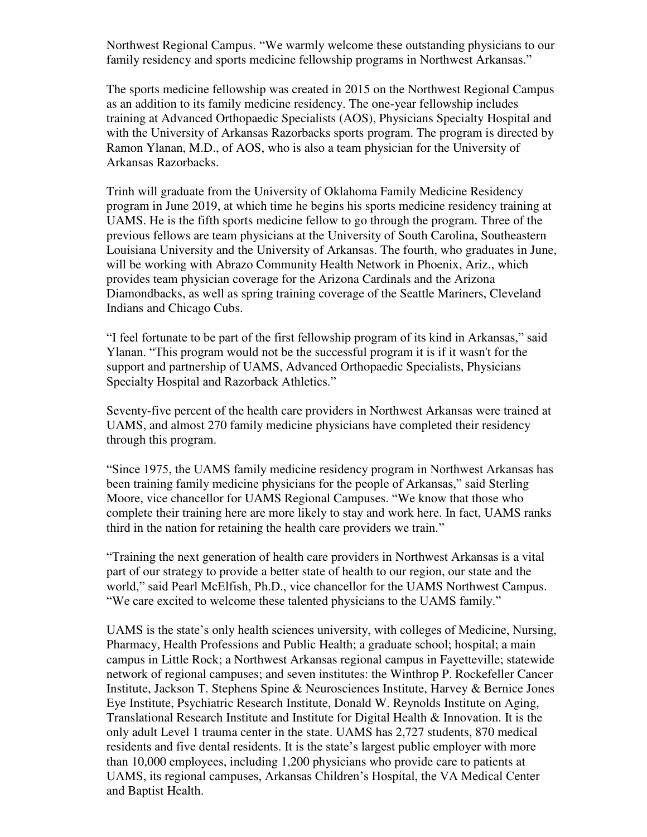Northwest Regional Campus. "We warmly welcome these outstanding physicians to our family residency and sports medicine fellowship programs in Northwest Arkansas."

The sports medicine fellowship was created in 2015 on the Northwest Regional Campus as an addition to its family medicine residency. The one-year fellowship includes training at Advanced Orthopaedic Specialists (AOS), Physicians Specialty Hospital and with the University of Arkansas Razorbacks sports program. The program is directed by Ramon Ylanan, M.D., of AOS, who is also a team physician for the University of Arkansas Razorbacks.

Trinh will graduate from the University of Oklahoma Family Medicine Residency program in June 2019, at which time he begins his sports medicine residency training at UAMS. He is the fifth sports medicine fellow to go through the program. Three of the previous fellows are team physicians at the University of South Carolina, Southeastern Louisiana University and the University of Arkansas. The fourth, who graduates in June, will be working with Abrazo Community Health Network in Phoenix, Ariz., which provides team physician coverage for the Arizona Cardinals and the Arizona Diamondbacks, as well as spring training coverage of the Seattle Mariners, Cleveland Indians and Chicago Cubs.

"I feel fortunate to be part of the first fellowship program of its kind in Arkansas," said Ylanan. "This program would not be the successful program it is if it wasn't for the support and partnership of UAMS, Advanced Orthopaedic Specialists, Physicians Specialty Hospital and Razorback Athletics."

Seventy-five percent of the health care providers in Northwest Arkansas were trained at UAMS, and almost 270 family medicine physicians have completed their residency through this program.

"Since 1975, the UAMS family medicine residency program in Northwest Arkansas has been training family medicine physicians for the people of Arkansas," said Sterling Moore, vice chancellor for UAMS Regional Campuses. "We know that those who complete their training here are more likely to stay and work here. In fact, UAMS ranks third in the nation for retaining the health care providers we train."

"Training the next generation of health care providers in Northwest Arkansas is a vital part of our strategy to provide a better state of health to our region, our state and the world," said Pearl McElfish, Ph.D., vice chancellor for the UAMS Northwest Campus. "We care excited to welcome these talented physicians to the UAMS family."

UAMS is the state's only health sciences university, with colleges of Medicine, Nursing, Pharmacy, Health Professions and Public Health; a graduate school; hospital; a main campus in Little Rock; a Northwest Arkansas regional campus in Fayetteville; statewide network of regional campuses; and seven institutes: the Winthrop P. Rockefeller Cancer Institute, Jackson T. Stephens Spine & Neurosciences Institute, Harvey & Bernice Jones Eye Institute, Psychiatric Research Institute, Donald W. Reynolds Institute on Aging, Translational Research Institute and Institute for Digital Health & Innovation. It is the only adult Level 1 trauma center in the state. UAMS has 2,727 students, 870 medical residents and five dental residents. It is the state's largest public employer with more than 10,000 employees, including 1,200 physicians who provide care to patients at UAMS, its regional campuses, Arkansas Children's Hospital, the VA Medical Center and Baptist Health.